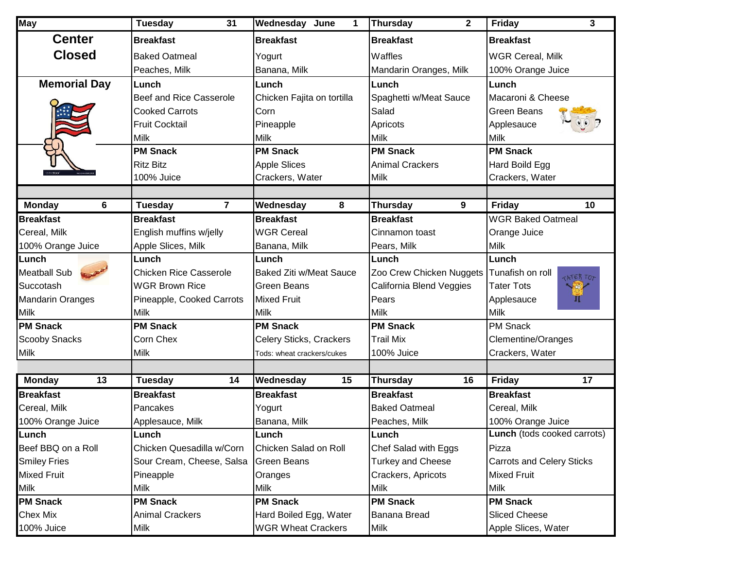| <b>May</b>              | <b>Tuesday</b><br>31          | <b>Wednesday June</b><br>1     | <b>Thursday</b><br>$\mathbf{2}$ | 3<br><b>Friday</b>                                                       |
|-------------------------|-------------------------------|--------------------------------|---------------------------------|--------------------------------------------------------------------------|
| <b>Center</b>           | <b>Breakfast</b>              | <b>Breakfast</b>               | <b>Breakfast</b>                | <b>Breakfast</b>                                                         |
| <b>Closed</b>           | <b>Baked Oatmeal</b>          | Yogurt                         | Waffles                         | <b>WGR Cereal, Milk</b>                                                  |
|                         | Peaches, Milk                 | Banana, Milk                   | Mandarin Oranges, Milk          | 100% Orange Juice                                                        |
| <b>Memorial Day</b>     | Lunch                         | Lunch                          | Lunch                           | Lunch                                                                    |
|                         | Beef and Rice Casserole       | Chicken Fajita on tortilla     | Spaghetti w/Meat Sauce          | Macaroni & Cheese                                                        |
|                         | <b>Cooked Carrots</b>         | Corn                           | Salad                           | <b>Green Beans</b>                                                       |
|                         | <b>Fruit Cocktail</b>         | Pineapple                      | Apricots                        | Applesauce                                                               |
|                         | Milk                          | <b>Milk</b>                    | Milk                            | <b>Milk</b>                                                              |
|                         | <b>PM Snack</b>               | <b>PM Snack</b>                | <b>PM Snack</b>                 | <b>PM Snack</b>                                                          |
|                         | <b>Ritz Bitz</b>              | <b>Apple Slices</b>            | <b>Animal Crackers</b>          | Hard Boild Egg                                                           |
|                         | 100% Juice                    | Crackers, Water                | Milk                            | Crackers, Water                                                          |
|                         |                               |                                |                                 |                                                                          |
| 6<br><b>Monday</b>      | 7<br>Tuesday                  | Wednesday<br>8                 | <b>Thursday</b><br>9            | 10<br><b>Friday</b>                                                      |
| <b>Breakfast</b>        | <b>Breakfast</b>              | <b>Breakfast</b>               | <b>Breakfast</b>                | <b>WGR Baked Oatmeal</b>                                                 |
| Cereal, Milk            | English muffins w/jelly       | <b>WGR Cereal</b>              | Cinnamon toast                  | Orange Juice                                                             |
| 100% Orange Juice       | Apple Slices, Milk            | Banana, Milk                   | Pears, Milk                     | <b>Milk</b>                                                              |
| Lunch                   | Lunch                         | Lunch                          | Lunch                           | Lunch                                                                    |
| <b>Meatball Sub</b>     | <b>Chicken Rice Casserole</b> | <b>Baked Ziti w/Meat Sauce</b> | Zoo Crew Chicken Nuggets        | Tunafish on roll<br><b>CATER TO:</b>                                     |
| Succotash               | <b>WGR Brown Rice</b>         | <b>Green Beans</b>             | California Blend Veggies        | <b>Tater Tots</b><br>$\langle \hat{\mathbf{c}} \hat{\mathbf{c}} \rangle$ |
| <b>Mandarin Oranges</b> | Pineapple, Cooked Carrots     | <b>Mixed Fruit</b>             | Pears                           | Applesauce<br>ш                                                          |
| <b>Milk</b>             | <b>Milk</b>                   | Milk                           | <b>Milk</b>                     | <b>Milk</b>                                                              |
| <b>PM Snack</b>         | <b>PM Snack</b>               | <b>PM Snack</b>                | <b>PM Snack</b>                 | PM Snack                                                                 |
| <b>Scooby Snacks</b>    | Corn Chex                     | Celery Sticks, Crackers        | <b>Trail Mix</b>                | <b>Clementine/Oranges</b>                                                |
| <b>Milk</b>             | Milk                          | Tods: wheat crackers/cukes     | 100% Juice                      | Crackers, Water                                                          |
|                         |                               |                                |                                 |                                                                          |
| <b>Monday</b><br>13     | <b>Tuesday</b><br>14          | Wednesday<br>15                | <b>Thursday</b><br>16           | 17<br><b>Friday</b>                                                      |
| <b>Breakfast</b>        | <b>Breakfast</b>              | <b>Breakfast</b>               | <b>Breakfast</b>                | <b>Breakfast</b>                                                         |
| Cereal, Milk            | Pancakes                      | Yogurt                         | <b>Baked Oatmeal</b>            | Cereal, Milk                                                             |
| 100% Orange Juice       | Applesauce, Milk              | Banana, Milk                   | Peaches, Milk                   | 100% Orange Juice                                                        |
| Lunch                   | Lunch                         | Lunch                          | Lunch                           | <b>Lunch</b> (tods cooked carrots)                                       |
| Beef BBQ on a Roll      | Chicken Quesadilla w/Corn     | Chicken Salad on Roll          | Chef Salad with Eggs            | Pizza                                                                    |
| <b>Smiley Fries</b>     | Sour Cream, Cheese, Salsa     | <b>Green Beans</b>             | <b>Turkey and Cheese</b>        | <b>Carrots and Celery Sticks</b>                                         |
| <b>Mixed Fruit</b>      | Pineapple                     | Oranges                        | Crackers, Apricots              | <b>Mixed Fruit</b>                                                       |
| <b>Milk</b>             | Milk                          | <b>Milk</b>                    | Milk                            | <b>Milk</b>                                                              |
| <b>PM Snack</b>         | <b>PM Snack</b>               | <b>PM Snack</b>                | <b>PM Snack</b>                 | <b>PM Snack</b>                                                          |
| <b>Chex Mix</b>         | <b>Animal Crackers</b>        | Hard Boiled Egg, Water         | Banana Bread                    | <b>Sliced Cheese</b>                                                     |
| 100% Juice              | Milk                          | <b>WGR Wheat Crackers</b>      | Milk                            | Apple Slices, Water                                                      |